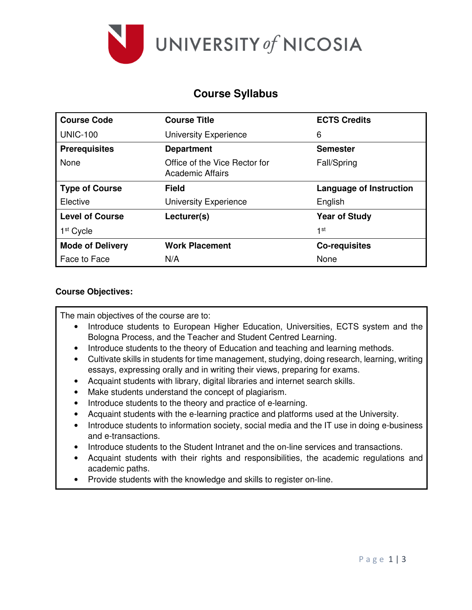

# **Course Syllabus**

| <b>Course Code</b>      | <b>Course Title</b>                               | <b>ECTS Credits</b>            |
|-------------------------|---------------------------------------------------|--------------------------------|
| <b>UNIC-100</b>         | <b>University Experience</b>                      | 6                              |
| <b>Prerequisites</b>    | <b>Department</b>                                 | <b>Semester</b>                |
| None                    | Office of the Vice Rector for<br>Academic Affairs | Fall/Spring                    |
| <b>Type of Course</b>   | <b>Field</b>                                      | <b>Language of Instruction</b> |
| Elective                | <b>University Experience</b>                      | English                        |
| <b>Level of Course</b>  | Lecturer(s)                                       | <b>Year of Study</b>           |
| 1 <sup>st</sup> Cycle   |                                                   | 1st                            |
| <b>Mode of Delivery</b> | <b>Work Placement</b>                             | <b>Co-requisites</b>           |
| Face to Face            | N/A                                               | None                           |

### **Course Objectives:**

The main objectives of the course are to:

- Introduce students to European Higher Education, Universities, ECTS system and the Bologna Process, and the Teacher and Student Centred Learning.
- Introduce students to the theory of Education and teaching and learning methods.
- Cultivate skills in students for time management, studying, doing research, learning, writing essays, expressing orally and in writing their views, preparing for exams.
- Acquaint students with library, digital libraries and internet search skills.
- Make students understand the concept of plagiarism.
- Introduce students to the theory and practice of e-learning.
- Acquaint students with the e-learning practice and platforms used at the University.
- Introduce students to information society, social media and the IT use in doing e-business and e-transactions.
- Introduce students to the Student Intranet and the on-line services and transactions.
- Acquaint students with their rights and responsibilities, the academic regulations and academic paths.
- Provide students with the knowledge and skills to register on-line.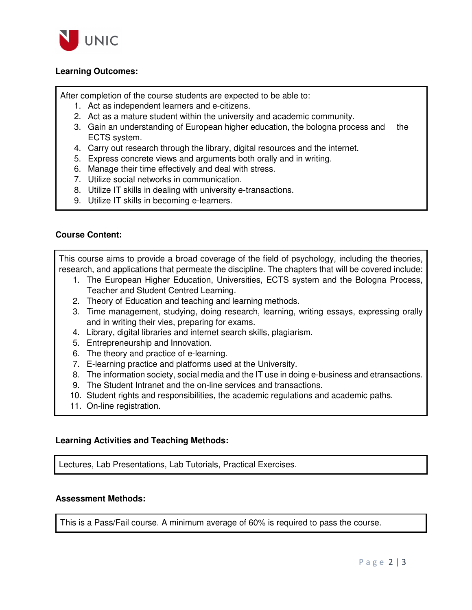

### **Learning Outcomes:**

After completion of the course students are expected to be able to:

- 1. Act as independent learners and e-citizens.
- 2. Act as a mature student within the university and academic community.
- 3. Gain an understanding of European higher education, the bologna process and the ECTS system.
- 4. Carry out research through the library, digital resources and the internet.
- 5. Express concrete views and arguments both orally and in writing.
- 6. Manage their time effectively and deal with stress.
- 7. Utilize social networks in communication.
- 8. Utilize IT skills in dealing with university e-transactions.
- 9. Utilize IT skills in becoming e-learners.

#### **Course Content:**

This course aims to provide a broad coverage of the field of psychology, including the theories, research, and applications that permeate the discipline. The chapters that will be covered include:

- 1. The European Higher Education, Universities, ECTS system and the Bologna Process, Teacher and Student Centred Learning.
- 2. Theory of Education and teaching and learning methods.
- 3. Time management, studying, doing research, learning, writing essays, expressing orally and in writing their vies, preparing for exams.
- 4. Library, digital libraries and internet search skills, plagiarism.
- 5. Entrepreneurship and Innovation.
- 6. The theory and practice of e-learning.
- 7. E-learning practice and platforms used at the University.
- 8. The information society, social media and the IT use in doing e-business and etransactions.
- 9. The Student Intranet and the on-line services and transactions.
- 10. Student rights and responsibilities, the academic regulations and academic paths.
- 11. On-line registration.

#### **Learning Activities and Teaching Methods:**

Lectures, Lab Presentations, Lab Tutorials, Practical Exercises.

#### **Assessment Methods:**

This is a Pass/Fail course. A minimum average of 60% is required to pass the course.